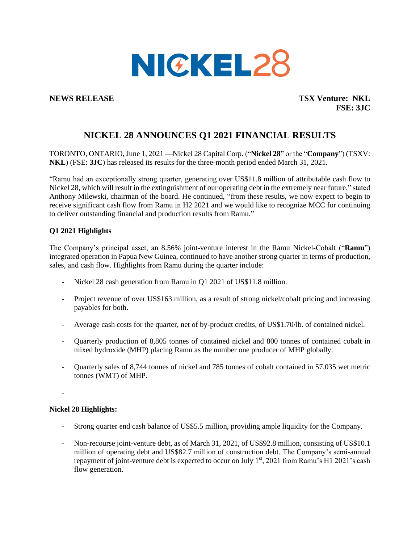

**NEWS RELEASE TSX Venture: NKL FSE: 3JC**

# **NICKEL 28 ANNOUNCES Q1 2021 FINANCIAL RESULTS**

TORONTO, ONTARIO, June 1, 2021 —Nickel 28 Capital Corp. ("**Nickel 28**" or the "**Company**") (TSXV: **NKL**) (FSE: **3JC**) has released its results for the three-month period ended March 31, 2021.

"Ramu had an exceptionally strong quarter, generating over US\$11.8 million of attributable cash flow to Nickel 28, which will result in the extinguishment of our operating debt in the extremely near future," stated Anthony Milewski, chairman of the board. He continued, "from these results, we now expect to begin to receive significant cash flow from Ramu in H2 2021 and we would like to recognize MCC for continuing to deliver outstanding financial and production results from Ramu."

### **Q1 2021 Highlights**

The Company's principal asset, an 8.56% joint-venture interest in the Ramu Nickel-Cobalt ("**Ramu**") integrated operation in Papua New Guinea, continued to have another strong quarter in terms of production, sales, and cash flow. Highlights from Ramu during the quarter include:

- Nickel 28 cash generation from Ramu in O1 2021 of US\$11.8 million.
- Project revenue of over US\$163 million, as a result of strong nickel/cobalt pricing and increasing payables for both.
- Average cash costs for the quarter, net of by-product credits, of US\$1.70/lb. of contained nickel.
- Quarterly production of 8,805 tonnes of contained nickel and 800 tonnes of contained cobalt in mixed hydroxide (MHP) placing Ramu as the number one producer of MHP globally.
- Quarterly sales of 8,744 tonnes of nickel and 785 tonnes of cobalt contained in 57,035 wet metric tonnes (WMT) of MHP.

-

### **Nickel 28 Highlights:**

- Strong quarter end cash balance of US\$5.5 million, providing ample liquidity for the Company.
- Non-recourse joint-venture debt, as of March 31, 2021, of US\$92.8 million, consisting of US\$10.1 million of operating debt and US\$82.7 million of construction debt. The Company's semi-annual repayment of joint-venture debt is expected to occur on July  $1<sup>st</sup>$ , 2021 from Ramu's H1 2021's cash flow generation.